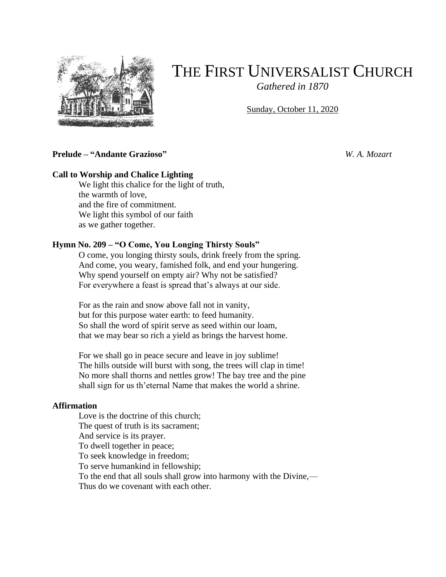

# THE FIRST UNIVERSALIST CHURCH

*Gathered in 1870*

Sunday, October 11, 2020

### **Prelude – "Andante Grazioso"** *W. A. Mozart*

# **Call to Worship and Chalice Lighting**

We light this chalice for the light of truth, the warmth of love, and the fire of commitment. We light this symbol of our faith as we gather together.

#### **Hymn No. 209 – "O Come, You Longing Thirsty Souls"**

O come, you longing thirsty souls, drink freely from the spring. And come, you weary, famished folk, and end your hungering. Why spend yourself on empty air? Why not be satisfied? For everywhere a feast is spread that's always at our side.

For as the rain and snow above fall not in vanity, but for this purpose water earth: to feed humanity. So shall the word of spirit serve as seed within our loam, that we may bear so rich a yield as brings the harvest home.

For we shall go in peace secure and leave in joy sublime! The hills outside will burst with song, the trees will clap in time! No more shall thorns and nettles grow! The bay tree and the pine shall sign for us th'eternal Name that makes the world a shrine.

#### **Affirmation**

Love is the doctrine of this church; The quest of truth is its sacrament; And service is its prayer. To dwell together in peace; To seek knowledge in freedom; To serve humankind in fellowship; To the end that all souls shall grow into harmony with the Divine,— Thus do we covenant with each other.